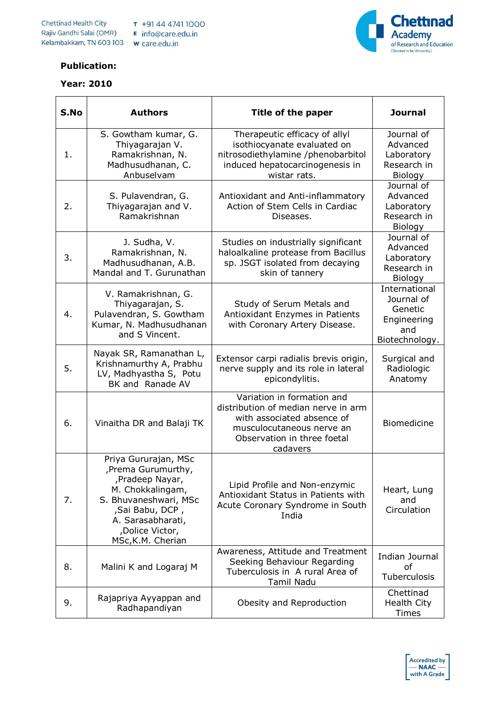

## **Publication:**

## **Year: 2010**

| S.No | <b>Authors</b>                                                                                                                                                                              | Title of the paper                                                                                                                                                      | <b>Journal</b>                                                                 |
|------|---------------------------------------------------------------------------------------------------------------------------------------------------------------------------------------------|-------------------------------------------------------------------------------------------------------------------------------------------------------------------------|--------------------------------------------------------------------------------|
| 1.   | S. Gowtham kumar, G.<br>Thiyagarajan V.<br>Ramakrishnan, N.<br>Madhusudhanan, C.<br>Anbuselvam                                                                                              | Therapeutic efficacy of allyl<br>isothiocyanate evaluated on<br>nitrosodiethylamine /phenobarbitol<br>induced hepatocarcinogenesis in<br>wistar rats.                   | Journal of<br>Advanced<br>Laboratory<br>Research in<br>Biology                 |
| 2.   | S. Pulavendran, G.<br>Thiyagarajan and V.<br>Ramakrishnan                                                                                                                                   | Antioxidant and Anti-inflammatory<br>Action of Stem Cells in Cardiac<br>Diseases.                                                                                       | Journal of<br>Advanced<br>Laboratory<br>Research in<br>Biology                 |
| 3.   | J. Sudha, V.<br>Ramakrishnan, N.<br>Madhusudhanan, A.B.<br>Mandal and T. Gurunathan                                                                                                         | Studies on industrially significant<br>haloalkaline protease from Bacillus<br>sp. JSGT isolated from decaying<br>skin of tannery                                        | Journal of<br>Advanced<br>Laboratory<br>Research in<br>Biology                 |
| 4.   | V. Ramakrishnan, G.<br>Thiyagarajan, S.<br>Pulavendran, S. Gowtham<br>Kumar, N. Madhusudhanan<br>and S Vincent.                                                                             | Study of Serum Metals and<br>Antioxidant Enzymes in Patients<br>with Coronary Artery Disease.                                                                           | International<br>Journal of<br>Genetic<br>Engineering<br>and<br>Biotechnology. |
| 5.   | Nayak SR, Ramanathan L,<br>Krishnamurthy A, Prabhu<br>LV, Madhyastha S, Potu<br>BK and Ranade AV                                                                                            | Extensor carpi radialis brevis origin,<br>nerve supply and its role in lateral<br>epicondylitis.                                                                        | Surgical and<br>Radiologic<br>Anatomy                                          |
| 6.   | Vinaitha DR and Balaji TK                                                                                                                                                                   | Variation in formation and<br>distribution of median nerve in arm<br>with associated absence of<br>musculocutaneous nerve an<br>Observation in three foetal<br>cadavers | Biomedicine                                                                    |
| 7.   | Priya Gururajan, MSc<br>,Prema Gurumurthy,<br>,Pradeep Nayar,<br>M. Chokkalingam,<br>S. Bhuvaneshwari, MSc<br>, Sai Babu, DCP,<br>A. Sarasabharati,<br>,Dolice Victor,<br>MSc, K.M. Cherian | Lipid Profile and Non-enzymic<br>Antioxidant Status in Patients with<br>Acute Coronary Syndrome in South<br>India                                                       | Heart, Lung<br>and<br>Circulation                                              |
| 8.   | Malini K and Logaraj M                                                                                                                                                                      | Awareness, Attitude and Treatment<br>Seeking Behaviour Regarding<br>Tuberculosis in A rural Area of<br>Tamil Nadu                                                       | Indian Journal<br>of<br>Tuberculosis                                           |
| 9.   | Rajapriya Ayyappan and<br>Radhapandiyan                                                                                                                                                     | Obesity and Reproduction                                                                                                                                                | Chettinad<br>Health City<br><b>Times</b>                                       |